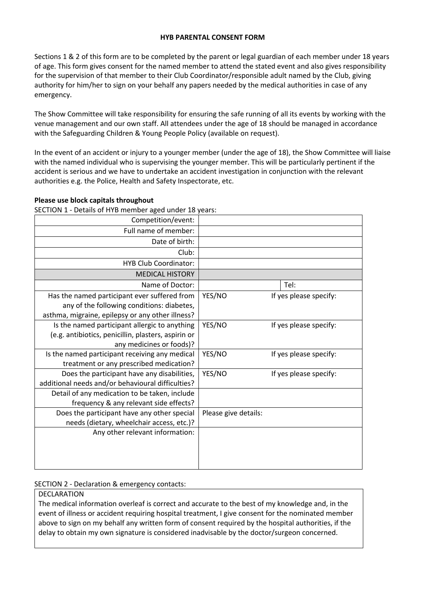## **HYB PARENTAL CONSENT FORM**

Sections 1 & 2 of this form are to be completed by the parent or legal guardian of each member under 18 years of age. This form gives consent for the named member to attend the stated event and also gives responsibility for the supervision of that member to their Club Coordinator/responsible adult named by the Club, giving authority for him/her to sign on your behalf any papers needed by the medical authorities in case of any emergency.

The Show Committee will take responsibility for ensuring the safe running of all its events by working with the venue management and our own staff. All attendees under the age of 18 should be managed in accordance with the Safeguarding Children & Young People Policy (available on request).

In the event of an accident or injury to a younger member (under the age of 18), the Show Committee will liaise with the named individual who is supervising the younger member. This will be particularly pertinent if the accident is serious and we have to undertake an accident investigation in conjunction with the relevant authorities e.g. the Police, Health and Safety Inspectorate, etc.

## **Please use block capitals throughout**

SECTION 1 - Details of HYB member aged under 18 years:

| Competition/event:                                  |                      |                        |
|-----------------------------------------------------|----------------------|------------------------|
| Full name of member:                                |                      |                        |
| Date of birth:                                      |                      |                        |
| Club:                                               |                      |                        |
| <b>HYB Club Coordinator:</b>                        |                      |                        |
| <b>MEDICAL HISTORY</b>                              |                      |                        |
| Name of Doctor:                                     |                      | Tel:                   |
| Has the named participant ever suffered from        | YES/NO               | If yes please specify: |
| any of the following conditions: diabetes,          |                      |                        |
| asthma, migraine, epilepsy or any other illness?    |                      |                        |
| Is the named participant allergic to anything       | YES/NO               | If yes please specify: |
| (e.g. antibiotics, penicillin, plasters, aspirin or |                      |                        |
| any medicines or foods)?                            |                      |                        |
| Is the named participant receiving any medical      | YES/NO               | If yes please specify: |
| treatment or any prescribed medication?             |                      |                        |
| Does the participant have any disabilities,         | YES/NO               | If yes please specify: |
| additional needs and/or behavioural difficulties?   |                      |                        |
| Detail of any medication to be taken, include       |                      |                        |
| frequency & any relevant side effects?              |                      |                        |
| Does the participant have any other special         | Please give details: |                        |
| needs (dietary, wheelchair access, etc.)?           |                      |                        |
| Any other relevant information:                     |                      |                        |
|                                                     |                      |                        |
|                                                     |                      |                        |
|                                                     |                      |                        |

## SECTION 2 - Declaration & emergency contacts:

## DECLARATION

The medical information overleaf is correct and accurate to the best of my knowledge and, in the event of illness or accident requiring hospital treatment, I give consent for the nominated member above to sign on my behalf any written form of consent required by the hospital authorities, if the delay to obtain my own signature is considered inadvisable by the doctor/surgeon concerned.